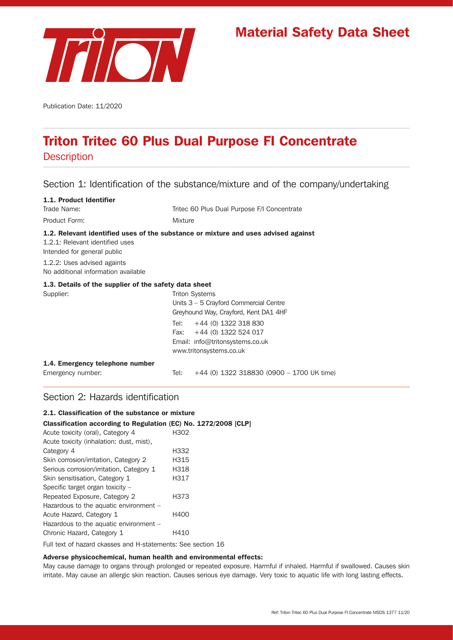

# Material Safety Data Sheet

Publication Date: 11/2020

# Triton Tritec 60 Plus Dual Purpose FI Concentrate

**Description** 

# Section 1: Identification of the substance/mixture and of the company/undertaking

| 1.1. Product Identifier                                            |                                                                                                                                                                    |
|--------------------------------------------------------------------|--------------------------------------------------------------------------------------------------------------------------------------------------------------------|
| Trade Name:                                                        | Tritec 60 Plus Dual Purpose F/I Concentrate                                                                                                                        |
| Product Form:                                                      | <b>Mixture</b>                                                                                                                                                     |
| 1.2.1: Relevant identified uses<br>Intended for general public     | 1.2. Relevant identified uses of the substance or mixture and uses advised against                                                                                 |
| 1.2.2: Uses advised againts<br>No additional information available |                                                                                                                                                                    |
| 1.3. Details of the supplier of the safety data sheet              |                                                                                                                                                                    |
| Supplier:                                                          | Triton Systems<br>Units $3 - 5$ Crayford Commercial Centre<br>Greyhound Way, Crayford, Kent DA1 4HF<br>+44 (0) 1322 318 830<br>Tel:<br>Fax: $+44$ (0) 1322 524 017 |
|                                                                    | Email: info@tritonsystems.co.uk<br>www.tritonsystems.co.uk                                                                                                         |
| 1.4. Emergency telephone number                                    |                                                                                                                                                                    |
| Emergency number:                                                  | $+44$ (0) 1322 318830 (0900 - 1700 UK time)<br>Tel:                                                                                                                |

# Section 2: Hazards identification

| 2.1. Classification of the substance or mixture                 |      |  |
|-----------------------------------------------------------------|------|--|
| Classification according to Regulation (EC) No. 1272/2008 [CLP] |      |  |
| Acute toxicity (oral), Category 4                               | H302 |  |
| Acute toxicity (inhalation: dust, mist),                        |      |  |
| Category 4                                                      | H332 |  |
| Skin corrosion/irritation, Category 2                           | H315 |  |
| Serious corrosion/irritation, Category 1                        | H318 |  |
| Skin sensitisation, Category 1                                  | H317 |  |
| Specific target organ toxicity $-$                              |      |  |
| Repeated Exposure, Category 2                                   | H373 |  |
| Hazardous to the aquatic environment -                          |      |  |
| Acute Hazard, Category 1                                        | H400 |  |
| Hazardous to the aquatic environment -                          |      |  |
| Chronic Hazard, Category 1                                      | H410 |  |
|                                                                 |      |  |

Full text of hazard ckasses and H-statements: See section 16

#### Adverse physicochemical, human health and environmental effects:

May cause damage to organs through prolonged or repeated exposure. Harmful if inhaled. Harmful if swallowed. Causes skin irritate. May cause an allergic skin reaction. Causes serious eye damage. Very toxic to aquatic life with long lasting effects.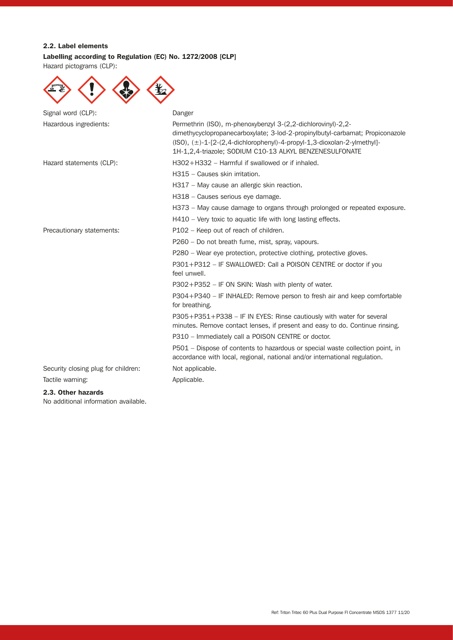## 2.2. Label elements

# Labelling according to Regulation (EC) No. 1272/2008 [CLP]

Hazard pictograms (CLP):

| Signal word (CLP):                  | Danger                                                                                                                                                                                                                                                                                        |
|-------------------------------------|-----------------------------------------------------------------------------------------------------------------------------------------------------------------------------------------------------------------------------------------------------------------------------------------------|
| Hazardous ingredients:              | Permethrin (ISO), m-phenoxybenzyl 3-(2,2-dichlorovinyl)-2,2-<br>dimethycyclopropanecarboxylate; 3-lod-2-propinylbutyl-carbamat; Propiconazole<br>$(ISO), (\pm)$ -1-[2- $(2, 4$ -dichlorophenyl)-4-propyl-1,3-dioxolan-2-ylmethyl]-<br>1H-1,2,4-triazole; SODIUM C10-13 ALKYL BENZENESULFONATE |
| Hazard statements (CLP):            | H302+H332 - Harmful if swallowed or if inhaled.                                                                                                                                                                                                                                               |
|                                     | H315 - Causes skin irritation.                                                                                                                                                                                                                                                                |
|                                     | H317 – May cause an allergic skin reaction.                                                                                                                                                                                                                                                   |
|                                     | H318 - Causes serious eye damage.                                                                                                                                                                                                                                                             |
|                                     | H373 - May cause damage to organs through prolonged or repeated exposure.                                                                                                                                                                                                                     |
|                                     | H410 - Very toxic to aquatic life with long lasting effects.                                                                                                                                                                                                                                  |
| Precautionary statements:           | P102 - Keep out of reach of children.                                                                                                                                                                                                                                                         |
|                                     | P260 - Do not breath fume, mist, spray, vapours.                                                                                                                                                                                                                                              |
|                                     | P280 - Wear eye protection, protective clothing, protective gloves.                                                                                                                                                                                                                           |
|                                     | P301+P312 - IF SWALLOWED: Call a POISON CENTRE or doctor if you<br>feel unwell.                                                                                                                                                                                                               |
|                                     | $P302 + P352 - IF ON SKIN: Wash with plenty of water.$                                                                                                                                                                                                                                        |
|                                     | P304+P340 - IF INHALED: Remove person to fresh air and keep comfortable<br>for breathing.                                                                                                                                                                                                     |
|                                     | P305+P351+P338 - IF IN EYES: Rinse cautiously with water for several<br>minutes. Remove contact lenses, if present and easy to do. Continue rinsing.                                                                                                                                          |
|                                     | P310 - Immediately call a POISON CENTRE or doctor.                                                                                                                                                                                                                                            |
|                                     | P501 – Dispose of contents to hazardous or special waste collection point, in<br>accordance with local, regional, national and/or international regulation.                                                                                                                                   |
| Security closing plug for children: | Not applicable.                                                                                                                                                                                                                                                                               |
| Tactile warning:                    | Applicable.                                                                                                                                                                                                                                                                                   |
| 2.3. Other hazards                  |                                                                                                                                                                                                                                                                                               |

No additional information available.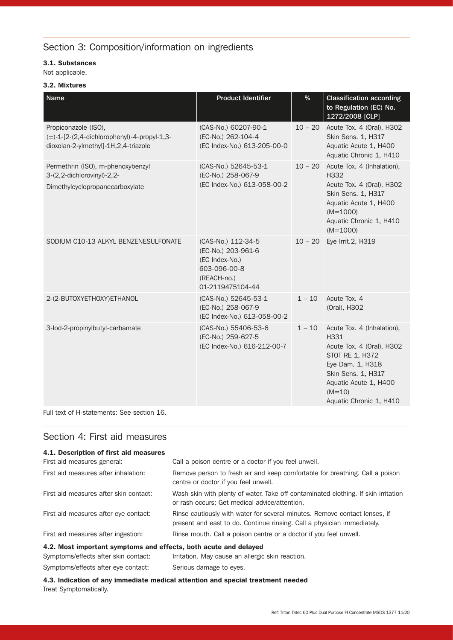# Section 3: Composition/information on ingredients

## 3.1. Substances

Not applicable.

### 3.2. Mixtures

| <b>Name</b>                                                                                                      | <b>Product Identifier</b>                                                                                     | $\%$      | <b>Classification according</b><br>to Regulation (EC) No.<br>1272/2008 [CLP]                                                                                                                 |
|------------------------------------------------------------------------------------------------------------------|---------------------------------------------------------------------------------------------------------------|-----------|----------------------------------------------------------------------------------------------------------------------------------------------------------------------------------------------|
| Propiconazole (ISO),<br>$(\pm)$ -1-[2-(2,4-dichlorophenyl)-4-propyl-1,3-<br>dioxolan-2-ylmethyl]-1H,2,4-triazole | (CAS-No.) 60207-90-1<br>(EC-No.) 262-104-4<br>(EC Index-No.) 613-205-00-0                                     | $10 - 20$ | Acute Tox. 4 (Oral), H302<br>Skin Sens. 1, H317<br>Aquatic Acute 1, H400<br>Aquatic Chronic 1, H410                                                                                          |
| Permethrin (ISO), m-phenoxybenzyl<br>3-(2,2-dichlorovinyl)-2,2-<br>Dimethylcyclopropanecarboxylate               | (CAS-No.) 52645-53-1<br>(EC-No.) 258-067-9<br>(EC Index-No.) 613-058-00-2                                     | $10 - 20$ | Acute Tox. 4 (Inhalation),<br>H332<br>Acute Tox. 4 (Oral), H302<br>Skin Sens. 1, H317<br>Aquatic Acute 1, H400<br>$(M=1000)$<br>Aquatic Chronic 1, H410<br>$(M=1000)$                        |
| SODIUM C10-13 ALKYL BENZENESULFONATE                                                                             | (CAS-No.) 112-34-5<br>(EC-No.) 203-961-6<br>(EC Index-No.)<br>603-096-00-8<br>(REACH-no.)<br>01-2119475104-44 | $10 - 20$ | Eye Irrit.2, H319                                                                                                                                                                            |
| 2-(2-BUTOXYETHOXY)ETHANOL                                                                                        | (CAS-No.) 52645-53-1<br>(EC-No.) 258-067-9<br>(EC Index-No.) 613-058-00-2                                     | $1 - 10$  | Acute Tox, 4<br>(Oral), H302                                                                                                                                                                 |
| 3-lod-2-propinylbutyl-carbamate                                                                                  | (CAS-No.) 55406-53-6<br>(EC-No.) 259-627-5<br>(EC Index-No.) 616-212-00-7                                     | $1 - 10$  | Acute Tox. 4 (Inhalation),<br>H331<br>Acute Tox. 4 (Oral), H302<br>STOT RE 1, H372<br>Eye Dam. 1, H318<br>Skin Sens. 1, H317<br>Aquatic Acute 1, H400<br>$(M=10)$<br>Aquatic Chronic 1, H410 |

Full text of H-statements: See section 16.

## Section 4: First aid measures

| 4.1. Description of first aid measures                                          |                                                                                                                                                       |  |
|---------------------------------------------------------------------------------|-------------------------------------------------------------------------------------------------------------------------------------------------------|--|
| First aid measures general:                                                     | Call a poison centre or a doctor if you feel unwell.                                                                                                  |  |
| First aid measures after inhalation:                                            | Remove person to fresh air and keep comfortable for breathing. Call a poison<br>centre or doctor if you feel unwell.                                  |  |
| First aid measures after skin contact:                                          | Wash skin with plenty of water. Take off contaminated clothing. If skin irritation<br>or rash occurs; Get medical advice/attention.                   |  |
| First aid measures after eye contact:                                           | Rinse cautiously with water for several minutes. Remove contact lenses, if<br>present and east to do. Continue rinsing. Call a physician immediately. |  |
| First aid measures after ingestion:                                             | Rinse mouth. Call a poison centre or a doctor if you feel unwell.                                                                                     |  |
| 4.2. Most important symptoms and effects, both acute and delayed                |                                                                                                                                                       |  |
| Symptoms/effects after skin contact:                                            | Irritation. May cause an allergic skin reaction.                                                                                                      |  |
| Symptoms/effects after eye contact:                                             | Serious damage to eyes.                                                                                                                               |  |
| 4.3. Indication of any immediate medical attention and special treatment needed |                                                                                                                                                       |  |

4.3. Indication of any immediate medical attention and special treatment needed Treat Symptomatically.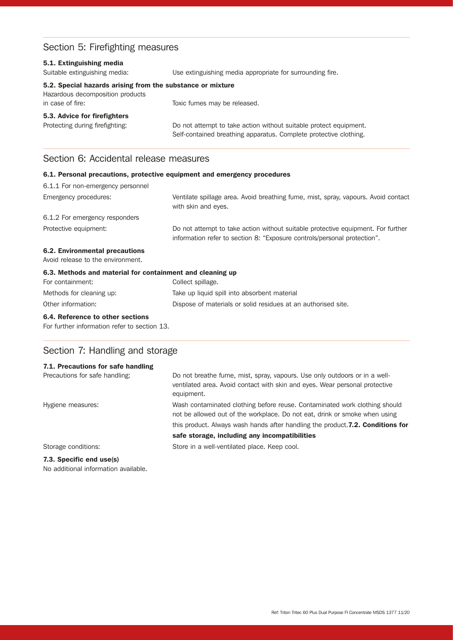# Section 5: Firefighting measures

| 5.1. Extinguishing media<br>Suitable extinguishing media:                                                          | Use extinguishing media appropriate for surrounding fire.                                                                              |
|--------------------------------------------------------------------------------------------------------------------|----------------------------------------------------------------------------------------------------------------------------------------|
| 5.2. Special hazards arising from the substance or mixture<br>Hazardous decomposition products<br>in case of fire: | Toxic fumes may be released.                                                                                                           |
| 5.3. Advice for firefighters<br>Protecting during firefighting:                                                    | Do not attempt to take action without suitable protect equipment.<br>Self-contained breathing apparatus. Complete protective clothing. |

## Section 6: Accidental release measures

#### 6.1. Personal precautions, protective equipment and emergency procedures 6.1.1 For non-emergency personnel

| O.T.T LOI HOU-GILIGING DEL SOLILIGI                       |                                                                                                                                                              |
|-----------------------------------------------------------|--------------------------------------------------------------------------------------------------------------------------------------------------------------|
| Emergency procedures:                                     | Ventilate spillage area. Avoid breathing fume, mist, spray, vapours. Avoid contact<br>with skin and eyes.                                                    |
| 6.1.2 For emergency responders                            |                                                                                                                                                              |
| Protective equipment:                                     | Do not attempt to take action without suitable protective equipment. For further<br>information refer to section 8: "Exposure controls/personal protection". |
| 6.2. Environmental precautions                            |                                                                                                                                                              |
| Avoid release to the environment.                         |                                                                                                                                                              |
| 6.3. Methods and material for containment and cleaning up |                                                                                                                                                              |
| For containment:                                          | Collect spillage.                                                                                                                                            |

# Methods for cleaning up: Take up liquid spill into absorbent material Other information: Dispose of materials or solid residues at an authorised site.

#### 6.4. Reference to other sections

For further information refer to section 13.

# Section 7: Handling and storage

## 7.1. Precautions for safe handling Precautions for safe handling: Do not breathe fume, mist, spray, vapours. Use only outdoors or in a wellventilated area. Avoid contact with skin and eyes. Wear personal protective equipment. Hygiene measures: Wash contaminated clothing before reuse. Contaminated work clothing should not be allowed out of the workplace. Do not eat, drink or smoke when using this product. Always wash hands after handling the product. 7.2. Conditions for safe storage, including any incompatibilities Storage conditions: Store in a well-ventilated place. Keep cool.

## 7.3. Specific end use(s)

No additional information available.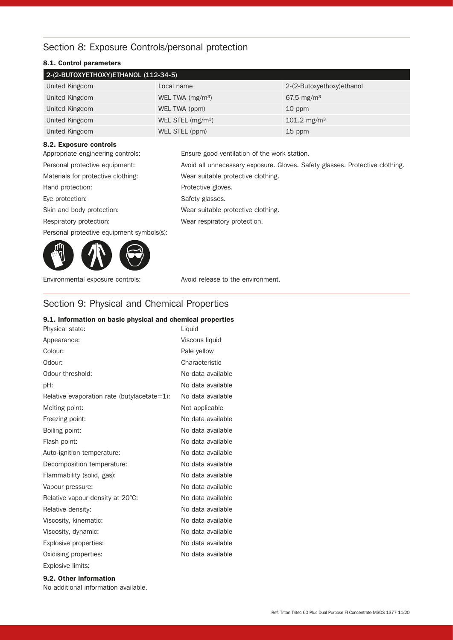# Section 8: Exposure Controls/personal protection

## 8.1. Control parameters

| 2-(2-BUTOXYETHOXY)ETHANOL (112-34-5) |                               |                            |  |
|--------------------------------------|-------------------------------|----------------------------|--|
| United Kingdom                       | Local name                    | 2-(2-Butoxyethoxy) ethanol |  |
| United Kingdom                       | WEL TWA $(mg/m3)$             | 67.5 mg/m <sup>3</sup>     |  |
| United Kingdom                       | WEL TWA (ppm)                 | 10 ppm                     |  |
| United Kingdom                       | WEL STEL (mg/m <sup>3</sup> ) | 101.2 mg/m <sup>3</sup>    |  |
| United Kingdom                       | WEL STEL (ppm)                | 15 ppm                     |  |

#### 8.2. Exposure controls

| Appropriate engineering controls:         | Ensure good ventilation of the work station.                                 |
|-------------------------------------------|------------------------------------------------------------------------------|
| Personal protective equipment:            | Avoid all unnecessary exposure. Gloves. Safety glasses. Protective clothing. |
| Materials for protective clothing:        | Wear suitable protective clothing.                                           |
| Hand protection:                          | Protective gloves.                                                           |
| Eye protection:                           | Safety glasses.                                                              |
| Skin and body protection:                 | Wear suitable protective clothing.                                           |
| Respiratory protection:                   | Wear respiratory protection.                                                 |
| Personal protective equipment symbols(s): |                                                                              |
|                                           |                                                                              |



Environmental exposure controls: Avoid release to the environment.

# Section 9: Physical and Chemical Properties

## 9.1. Information on basic physical and chemical properties Physical state: Liquid Appearance: Viscous liquid

| Appearance:                                 | VISCOUS IIQUIU    |
|---------------------------------------------|-------------------|
| Colour:                                     | Pale yellow       |
| Odour:                                      | Characteristic    |
| Odour threshold:                            | No data available |
| pH:                                         | No data available |
| Relative evaporation rate (butylacetate=1): | No data available |
| Melting point:                              | Not applicable    |
| Freezing point:                             | No data available |
| Boiling point:                              | No data available |
| Flash point:                                | No data available |
| Auto-ignition temperature:                  | No data available |
| Decomposition temperature:                  | No data available |
| Flammability (solid, gas):                  | No data available |
| Vapour pressure:                            | No data available |
| Relative vapour density at 20°C:            | No data available |
| Relative density:                           | No data available |
| Viscosity, kinematic:                       | No data available |
| Viscosity, dynamic:                         | No data available |
| Explosive properties:                       | No data available |
| Oxidising properties:                       | No data available |
| Explosive limits:                           |                   |

#### 9.2. Other information

No additional information available.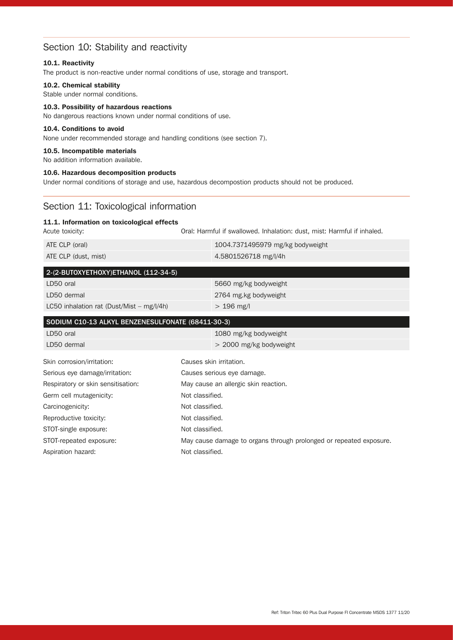# Section 10: Stability and reactivity

#### 10.1. Reactivity

The product is non-reactive under normal conditions of use, storage and transport.

#### 10.2. Chemical stability

Stable under normal conditions.

### 10.3. Possibility of hazardous reactions

No dangerous reactions known under normal conditions of use.

### 10.4. Conditions to avoid

None under recommended storage and handling conditions (see section 7).

#### 10.5. Incompatible materials

No addition information available.

#### 10.6. Hazardous decomposition products

Under normal conditions of storage and use, hazardous decompostion products should not be produced.

## Section 11: Toxicological information

#### 11.1. Information on toxicological effects

Acute toxicity: **Oral: Harmful if swallowed. Inhalation: dust, mist: Harmful if inhaled.** 

| ATE CLP (oral)       | $1004.7371495979$ mg/kg bodyweight |
|----------------------|------------------------------------|
| ATE CLP (dust, mist) | 4.5801526718 mg/l/4h               |

| 2-(2-BUTOXYETHOXY)ETHANOL (112-34-5)        |                       |  |
|---------------------------------------------|-----------------------|--|
| LD50 oral                                   | 5660 mg/kg bodyweight |  |
| LD50 dermal                                 | 2764 mg kg bodyweight |  |
| LC50 inhalation rat (Dust/Mist $-$ mg/l/4h) | $> 196$ mg/l          |  |

| SODIUM C10-13 ALKYL BENZENESULFONATE (68411-30-3) |                                                                    |
|---------------------------------------------------|--------------------------------------------------------------------|
| LD50 oral                                         | 1080 mg/kg bodyweight                                              |
| LD50 dermal                                       | $>$ 2000 mg/kg bodyweight                                          |
| Skin corrosion/irritation:                        | Causes skin irritation.                                            |
| Serious eye damage/irritation:                    | Causes serious eye damage.                                         |
| Respiratory or skin sensitisation:                | May cause an allergic skin reaction.                               |
| Germ cell mutagenicity:                           | Not classified.                                                    |
| Carcinogenicity:                                  | Not classified.                                                    |
| Reproductive toxicity:                            | Not classified.                                                    |
| STOT-single exposure:                             | Not classified.                                                    |
| STOT-repeated exposure:                           | May cause damage to organs through prolonged or repeated exposure. |
| Aspiration hazard:                                | Not classified.                                                    |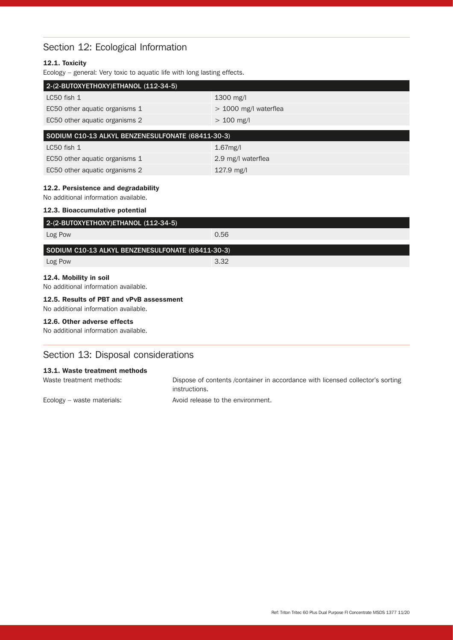# Section 12: Ecological Information

## 12.1. Toxicity

Ecology – general: Very toxic to aquatic life with long lasting effects.

| 2-(2-BUTOXYETHOXY)ETHANOL (112-34-5)              |                         |  |
|---------------------------------------------------|-------------------------|--|
| $LC50$ fish $1$                                   | $1300$ mg/l             |  |
| EC50 other aquatic organisms 1                    | $>$ 1000 mg/l waterflea |  |
| EC50 other aquatic organisms 2                    | $> 100$ mg/l            |  |
| SODIUM C10-13 ALKYL BENZENESULFONATE (68411-30-3) |                         |  |
| $LC50$ fish $1$                                   | $1.67$ mg/l             |  |
| EC50 other aquatic organisms 1                    | 2.9 mg/l waterflea      |  |
| EC50 other aquatic organisms 2                    | $127.9$ mg/l            |  |

#### 12.2. Persistence and degradability

No additional information available. 12.3. Bioaccumulative potential

| 2-(2-BUTOXYETHOXY)ETHANOL (112-34-5)                                             |      |  |
|----------------------------------------------------------------------------------|------|--|
| Log Pow                                                                          | 0.56 |  |
| SODIUM C10-13 ALKYL BENZENESULFONATE (68411-30-3)                                |      |  |
| Log Pow                                                                          | 3.32 |  |
| 12.4. Mobility in soil<br>No additional information available.                   |      |  |
| 12.5. Results of PBT and vPvB assessment<br>No additional information available. |      |  |
| 12.6. Other adverse effects<br>No additional information available.              |      |  |
| Section 13: Disposal considerations                                              |      |  |

#### 13.1. Waste treatment methods

| Waste treatment methods:   | Dispose of contents / container in accordance with licensed collector's sorting<br>instructions. |
|----------------------------|--------------------------------------------------------------------------------------------------|
| Ecology – waste materials: | Avoid release to the environment.                                                                |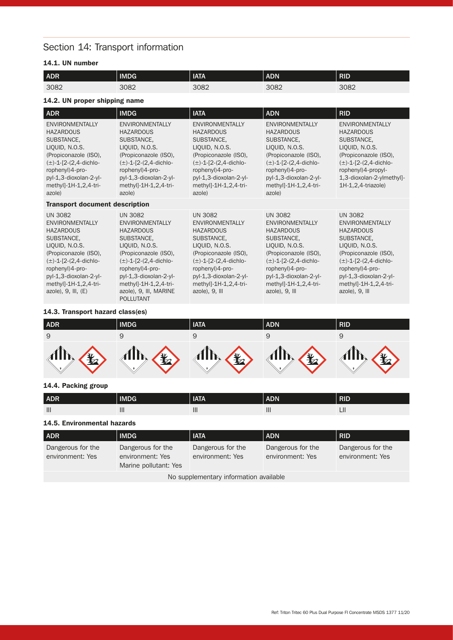# Section 14: Transport information

## 14.1. UN number

| ADR                                                                                                                                                                                                                                                  | <b>IMDG</b>                                                                                                                                                                                                                                                             | <b>IATA</b>                                                                                                                                                                                                                                 | <b>ADN</b>                                                                                                                                                                                                                                   | <b>RID</b>                                                                                                                                                                                                                                  |
|------------------------------------------------------------------------------------------------------------------------------------------------------------------------------------------------------------------------------------------------------|-------------------------------------------------------------------------------------------------------------------------------------------------------------------------------------------------------------------------------------------------------------------------|---------------------------------------------------------------------------------------------------------------------------------------------------------------------------------------------------------------------------------------------|----------------------------------------------------------------------------------------------------------------------------------------------------------------------------------------------------------------------------------------------|---------------------------------------------------------------------------------------------------------------------------------------------------------------------------------------------------------------------------------------------|
| 3082                                                                                                                                                                                                                                                 | 3082                                                                                                                                                                                                                                                                    | 3082                                                                                                                                                                                                                                        | 3082                                                                                                                                                                                                                                         | 3082                                                                                                                                                                                                                                        |
| 14.2. UN proper shipping name                                                                                                                                                                                                                        |                                                                                                                                                                                                                                                                         |                                                                                                                                                                                                                                             |                                                                                                                                                                                                                                              |                                                                                                                                                                                                                                             |
| ADR                                                                                                                                                                                                                                                  | <b>IMDG</b>                                                                                                                                                                                                                                                             | <b>IATA</b>                                                                                                                                                                                                                                 | <b>ADN</b>                                                                                                                                                                                                                                   | <b>RID</b>                                                                                                                                                                                                                                  |
| <b>ENVIRONMENTALLY</b><br><b>HAZARDOUS</b><br>SUBSTANCE,<br>LIQUID, N.O.S.<br>(Propiconazole (ISO),<br>$(\pm)$ -1-[2-(2,4-dichlo-<br>rophenyl)4-pro-<br>pyl-1,3-dioxolan-2-yl-<br>methyl]-1H-1,2,4-tri-<br>azole)                                    | <b>ENVIRONMENTALLY</b><br><b>HAZARDOUS</b><br>SUBSTANCE,<br>LIQUID, N.O.S.<br>(Propiconazole (ISO),<br>$(\pm)$ -1-[2-(2,4-dichlo-<br>rophenyl) 4-pro-<br>pyl-1,3-dioxolan-2-yl-<br>methyl]-1H-1,2,4-tri-<br>azole)                                                      | <b>ENVIRONMENTALLY</b><br><b>HAZARDOUS</b><br>SUBSTANCE,<br>LIQUID, N.O.S.<br>(Propiconazole (ISO),<br>$(\pm)$ -1-[2-(2,4-dichlo-<br>rophenyl)4-pro-<br>pyl-1,3-dioxolan-2-yl-<br>methyl]-1H-1,2,4-tri-<br>azole)                           | <b>ENVIRONMENTALLY</b><br><b>HAZARDOUS</b><br>SUBSTANCE,<br>LIQUID, N.O.S.<br>(Propiconazole (ISO),<br>$(\pm)$ -1-[2-(2,4-dichlo-<br>rophenyl) 4-pro-<br>pyl-1,3-dioxolan-2-yl-<br>methyl]-1H-1,2,4-tri-<br>azole)                           | <b>ENVIRONMENTALLY</b><br><b>HAZARDOUS</b><br>SUBSTANCE,<br>LIQUID, N.O.S.<br>(Propiconazole (ISO),<br>$(\pm)$ -1-[2-(2,4-dichlo-<br>rophenyl)4-propyl-<br>1,3-dioxolan-2-ylmethyl]-<br>$1H-1,2,4-triazole$                                 |
| <b>Transport document description</b>                                                                                                                                                                                                                |                                                                                                                                                                                                                                                                         |                                                                                                                                                                                                                                             |                                                                                                                                                                                                                                              |                                                                                                                                                                                                                                             |
| <b>UN 3082</b><br><b>ENVIRONMENTALLY</b><br><b>HAZARDOUS</b><br>SUBSTANCE,<br>LIQUID, N.O.S.<br>(Propiconazole (ISO),<br>$(\pm)$ -1-[2-(2,4-dichlo-<br>rophenyl)4-pro-<br>pyl-1,3-dioxolan-2-yl-<br>methyl]-1H-1,2,4-tri-<br>$azole$ , 9, III, $(E)$ | <b>UN 3082</b><br><b>ENVIRONMENTALLY</b><br><b>HAZARDOUS</b><br>SUBSTANCE,<br>LIQUID, N.O.S.<br>(Propiconazole (ISO),<br>$(\pm)$ -1-[2-(2,4-dichlo-<br>rophenyl)4-pro-<br>pyl-1,3-dioxolan-2-yl-<br>methyl]-1H-1,2,4-tri-<br>azole), 9, III, MARINE<br><b>POLLUTANT</b> | <b>UN 3082</b><br><b>ENVIRONMENTALLY</b><br><b>HAZARDOUS</b><br>SUBSTANCE,<br>LIQUID, N.O.S.<br>(Propiconazole (ISO),<br>$(\pm)$ -1-[2-(2,4-dichlo-<br>rophenyl)4-pro-<br>pyl-1,3-dioxolan-2-yl-<br>methyl]-1H-1,2,4-tri-<br>azole), 9, III | <b>UN 3082</b><br><b>ENVIRONMENTALLY</b><br><b>HAZARDOUS</b><br>SUBSTANCE,<br>LIQUID, N.O.S.<br>(Propiconazole (ISO),<br>$(\pm)$ -1-[2-(2,4-dichlo-<br>rophenyl) 4-pro-<br>pyl-1,3-dioxolan-2-yl-<br>methyl]-1H-1,2,4-tri-<br>azole), 9, Ill | <b>UN 3082</b><br><b>ENVIRONMENTALLY</b><br><b>HAZARDOUS</b><br>SUBSTANCE,<br>LIQUID, N.O.S.<br>(Propiconazole (ISO),<br>$(\pm)$ -1-[2-(2,4-dichlo-<br>rophenyl)4-pro-<br>pyl-1,3-dioxolan-2-yl-<br>methyl]-1H-1,2,4-tri-<br>azole), 9, Ill |

### 14.3. Transport hazard class(es)

| ADR                           | <b>IMDG</b>                              | <b>IATA</b>           | <b>ADN</b>                     | <b>RID</b>    |
|-------------------------------|------------------------------------------|-----------------------|--------------------------------|---------------|
| 9                             |                                          |                       |                                |               |
| $\mathbf{M}$<br>$\frac{1}{2}$ | $\mathcal{A}\mathbb{D}$<br>$\frac{1}{2}$ | AID.<br>$\frac{1}{2}$ | $\mathbf{A}$<br>$\mathbb{F}_2$ | $\frac{1}{2}$ |

### 14.4. Packing group

| ADR            | <b>IMDG</b> | <b>IATA</b> | <b>ADN</b>   | <b>RID</b> |
|----------------|-------------|-------------|--------------|------------|
| $\mathbf{III}$ | III.        |             | $\mathbf{m}$ | шu         |

#### 14.5. Environmental hazards

| ADR                                    | <b>IMDG</b>                                                    | <b>IATA</b>                           | <b>ADN</b>                            | <b>RID</b>                            |
|----------------------------------------|----------------------------------------------------------------|---------------------------------------|---------------------------------------|---------------------------------------|
| Dangerous for the<br>environment: Yes  | Dangerous for the<br>environment: Yes<br>Marine pollutant: Yes | Dangerous for the<br>environment: Yes | Dangerous for the<br>environment: Yes | Dangerous for the<br>environment: Yes |
| No supplementary information available |                                                                |                                       |                                       |                                       |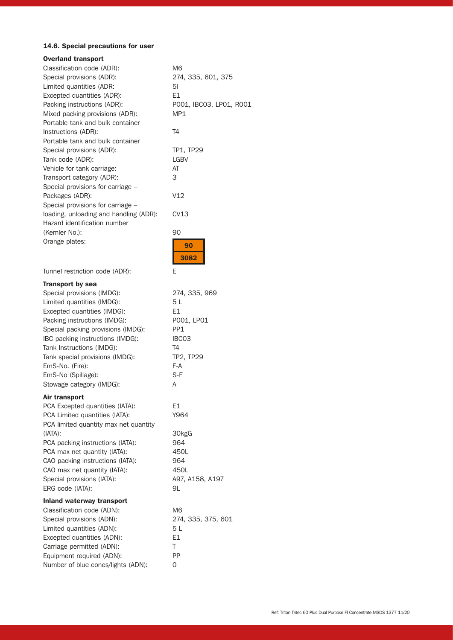## 14.6. Special precautions for user

| <b>Overland transport</b>              |                         |
|----------------------------------------|-------------------------|
| Classification code (ADR):             | M6                      |
| Special provisions (ADR):              | 274, 335, 601, 375      |
| Limited quantities (ADR:               | 51                      |
| Excepted quantities (ADR):             | E1                      |
| Packing instructions (ADR):            | P001, IBC03, LP01, R001 |
| Mixed packing provisions (ADR):        | MP1                     |
| Portable tank and bulk container       |                         |
| Instructions (ADR):                    | T <sub>4</sub>          |
| Portable tank and bulk container       |                         |
| Special provisions (ADR):              | TP1, TP29               |
| Tank code (ADR):                       | <b>LGBV</b>             |
| Vehicle for tank carriage:             | AT                      |
| Transport category (ADR):              | 3                       |
| Special provisions for carriage -      |                         |
| Packages (ADR):                        | V12                     |
| Special provisions for carriage -      |                         |
| loading, unloading and handling (ADR): | CV13                    |
| Hazard identification number           |                         |
| (Kemler No.):                          | 90                      |
| Orange plates:                         |                         |
|                                        | 90                      |
|                                        | 3082                    |
|                                        |                         |
| Tunnel restriction code (ADR):         | Е                       |
| <b>Transport by sea</b>                |                         |
| Special provisions (IMDG):             | 274, 335, 969           |
| Limited quantities (IMDG):             | 5 L                     |
| Excepted quantities (IMDG):            | Ε1                      |
| Packing instructions (IMDG):           | P001, LP01              |
| Special packing provisions (IMDG):     | PP1                     |
| IBC packing instructions (IMDG):       | IBC03                   |
| Tank Instructions (IMDG):              | T4                      |
| Tank special provisions (IMDG):        | TP2, TP29               |
| EmS-No. (Fire):                        | $F-A$                   |
| EmS-No (Spillage):                     | S-F                     |
| Stowage category (IMDG):               | Α                       |
| Air transport                          |                         |
| PCA Excepted quantities (IATA):        | E1                      |
| PCA Limited quantities (IATA):         | Y964                    |
| PCA limited quantity max net quantity  |                         |
|                                        |                         |
| $(IATA)$ :                             | 30kgG                   |
| PCA packing instructions (IATA):       | 964                     |
| PCA max net quantity (IATA):           | 450L                    |
| CAO packing instructions (IATA):       | 964                     |
| CAO max net quantity (IATA):           | 450L                    |
| Special provisions (IATA):             | A97, A158, A197         |
| ERG code (IATA):                       | 9L                      |
| <b>Inland waterway transport</b>       |                         |
| Classification code (ADN):             | M <sub>6</sub>          |
| Special provisions (ADN):              | 274, 335, 375, 601      |
| Limited quantities (ADN):              | 5 L                     |
| Excepted quantities (ADN):             | E1                      |
| Carriage permitted (ADN):              | Τ                       |
| Equipment required (ADN):              | PP                      |
| Number of blue cones/lights (ADN):     | 0                       |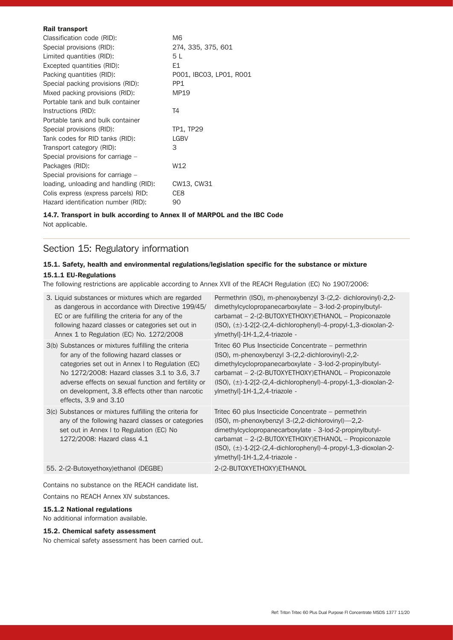| <b>Rail transport</b>                  |                         |
|----------------------------------------|-------------------------|
| Classification code (RID):             | M6                      |
| Special provisions (RID):              | 274, 335, 375, 601      |
| Limited quantities (RID):              | 5 L                     |
| Excepted quantities (RID):             | E1                      |
| Packing quantities (RID):              | P001, IBC03, LP01, R001 |
| Special packing provisions (RID):      | PP <sub>1</sub>         |
| Mixed packing provisions (RID):        | MP19                    |
| Portable tank and bulk container       |                         |
| Instructions (RID):                    | T4                      |
| Portable tank and bulk container       |                         |
| Special provisions (RID):              | TP1, TP29               |
| Tank codes for RID tanks (RID):        | <b>LGBV</b>             |
| Transport category (RID):              | З                       |
| Special provisions for carriage –      |                         |
| Packages (RID):                        | W12                     |
| Special provisions for carriage –      |                         |
| loading, unloading and handling (RID): | CW13, CW31              |
| Colis express (express parcels) RID:   | CE8                     |
| Hazard identification number (RID):    | 90                      |
|                                        |                         |

#### 14.7. Transport in bulk according to Annex II of MARPOL and the IBC Code

Not applicable.

# Section 15: Regulatory information

# 15.1. Safety, health and environmental regulations/legislation specific for the substance or mixture

## 15.1.1 EU-Regulations

The following restrictions are applicable according to Annex XVll of the REACH Regulation (EC) No 1907/2006:

| 3. Liquid substances or mixtures which are regarded<br>as dangerous in accordance with Directive 199/45/<br>EC or are fulfilling the criteria for any of the<br>following hazard classes or categories set out in<br>Annex 1 to Regulation (EC) No. 1272/2008                                                                                | Permethrin (ISO), m-phenoxybenzyl 3-(2,2- dichlorovinyl)-2,2-<br>$dimethylcyclopropanecarboxylate - 3-lod-2-propinylbutyl-$<br>carbamat - 2-(2-BUTOXYETHOXY)ETHANOL - Propiconazole<br>$(ISO), (\pm)$ -1-2[2- $(2,4$ -dichlorophenyl)-4-propyl-1,3-dioxolan-2-<br>$y$   methyl] - $1H$ - $1, 2, 4$ - triazole -                          |
|----------------------------------------------------------------------------------------------------------------------------------------------------------------------------------------------------------------------------------------------------------------------------------------------------------------------------------------------|------------------------------------------------------------------------------------------------------------------------------------------------------------------------------------------------------------------------------------------------------------------------------------------------------------------------------------------|
| 3(b) Substances or mixtures fulfilling the criteria<br>for any of the following hazard classes or<br>categories set out in Annex I to Regulation (EC)<br>No 1272/2008: Hazard classes 3.1 to 3.6, 3.7<br>adverse effects on sexual function and fertility or<br>on development, 3.8 effects other than narcotic<br>effects, $3.9$ and $3.10$ | Tritec 60 Plus Insecticide Concentrate – permethrin<br>(ISO), m-phenoxybenzyl 3-(2,2-dichlorovinyl)-2,2-<br>dimethylcyclopropanecarboxylate - 3-lod-2-propinylbutyl-<br>carbamat - 2-(2-BUTOXYETHOXY)ETHANOL - Propiconazole<br>$(ISO), (\pm)$ -1-2[2- $(2,4$ -dichlorophenyl)-4-propyl-1,3-dioxolan-2-<br>ylmethyl]-1H-1,2,4-triazole - |
| 3(c) Substances or mixtures fulfilling the criteria for<br>any of the following hazard classes or categories<br>set out in Annex I to Regulation (EC) No<br>1272/2008: Hazard class 4.1                                                                                                                                                      | Tritec 60 plus Insecticide Concentrate – permethrin<br>$(ISO), m-phenoxybenzyl 3-(2,2-dichlorovinyl)—2,2-$<br>dimethylcyclopropanecarboxylate - 3-lod-2-propinylbutyl-<br>carbamat - 2-(2-BUTOXYETHOXY)ETHANOL - Propiconazole<br>$(ISO), (\pm)$ -1-2[2-(2,4-dichlorophenyl)-4-propyl-1,3-dioxolan-2-<br>ylmethyl]-1H-1,2,4-triazole -   |
| 55. 2-(2-Butoxyethoxy) ethanol (DEGBE)                                                                                                                                                                                                                                                                                                       | 2-(2-BUTOXYETHOXY) ETHANOL                                                                                                                                                                                                                                                                                                               |

Contains no substance on the REACH candidate list. Contains no REACH Annex XlV substances.

#### 15.1.2 National regulations

No additional information available.

### 15.2. Chemical safety assessment

No chemical safety assessment has been carried out.